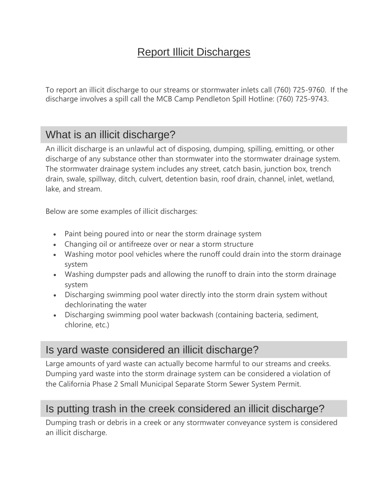# Report Illicit Discharges

To report an illicit discharge to our streams or stormwater inlets call (760) 725-9760. If the discharge involves a spill call the MCB Camp Pendleton Spill Hotline: (760) 725-9743.

# What is an illicit discharge?

An illicit discharge is an unlawful act of disposing, dumping, spilling, emitting, or other discharge of any substance other than stormwater into the stormwater drainage system. The stormwater drainage system includes any street, catch basin, junction box, trench drain, swale, spillway, ditch, culvert, detention basin, roof drain, channel, inlet, wetland, lake, and stream.

Below are some examples of illicit discharges:

- Paint being poured into or near the storm drainage system
- Changing oil or antifreeze over or near a storm structure
- Washing motor pool vehicles where the runoff could drain into the storm drainage system
- Washing dumpster pads and allowing the runoff to drain into the storm drainage system
- Discharging swimming pool water directly into the storm drain system without dechlorinating the water
- Discharging swimming pool water backwash (containing bacteria, sediment, chlorine, etc.)

### Is yard waste considered an illicit discharge?

Large amounts of yard waste can actually become harmful to our streams and creeks. Dumping yard waste into the storm drainage system can be considered a violation of the California Phase 2 Small Municipal Separate Storm Sewer System Permit.

### Is putting trash in the creek considered an illicit discharge?

Dumping trash or debris in a creek or any stormwater conveyance system is considered an illicit discharge.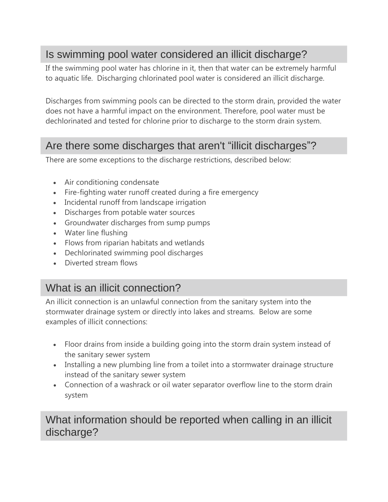## Is swimming pool water considered an illicit discharge?

If the swimming pool water has chlorine in it, then that water can be extremely harmful to aquatic life. Discharging chlorinated pool water is considered an illicit discharge.

Discharges from swimming pools can be directed to the storm drain, provided the water does not have a harmful impact on the environment. Therefore, pool water must be dechlorinated and tested for chlorine prior to discharge to the storm drain system.

#### Are there some discharges that aren't "illicit discharges"?

There are some exceptions to the discharge restrictions, described below:

- Air conditioning condensate
- Fire-fighting water runoff created during a fire emergency
- Incidental runoff from landscape irrigation
- Discharges from potable water sources
- Groundwater discharges from sump pumps
- Water line flushing
- Flows from riparian habitats and wetlands
- Dechlorinated swimming pool discharges
- Diverted stream flows

## What is an illicit connection?

An illicit connection is an unlawful connection from the sanitary system into the stormwater drainage system or directly into lakes and streams. Below are some examples of illicit connections:

- Floor drains from inside a building going into the storm drain system instead of the sanitary sewer system
- Installing a new plumbing line from a toilet into a stormwater drainage structure instead of the sanitary sewer system
- Connection of a washrack or oil water separator overflow line to the storm drain system

#### What information should be reported when calling in an illicit discharge?